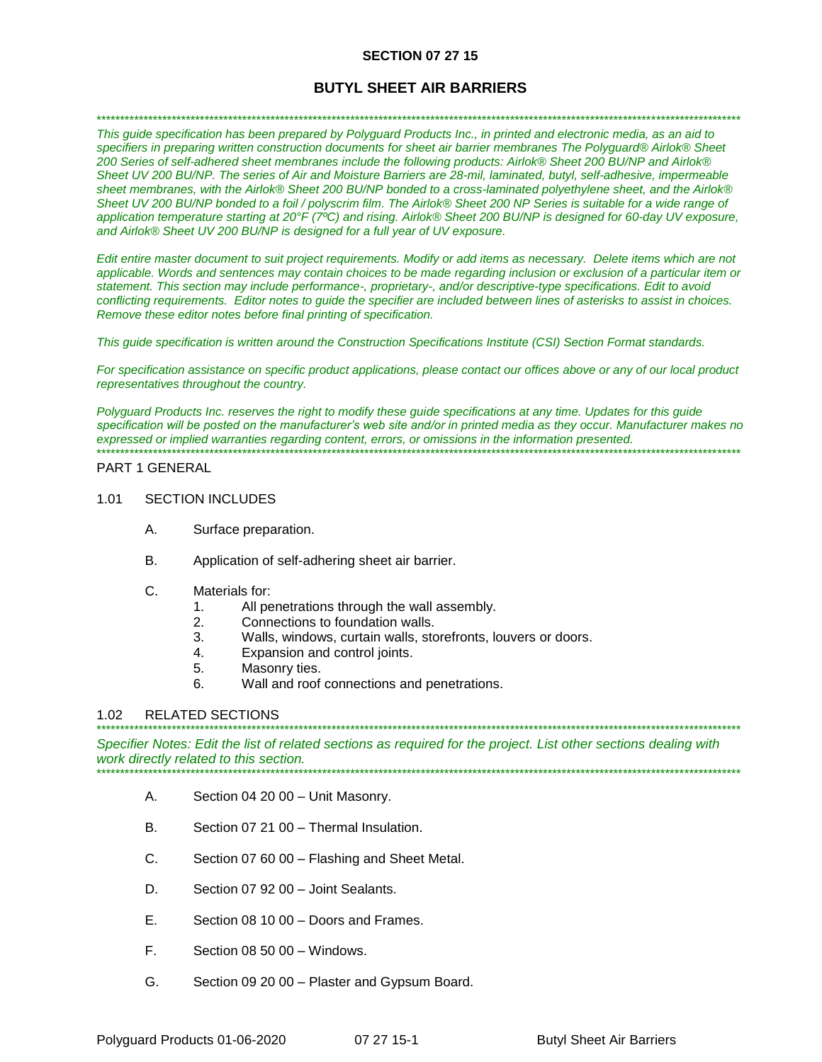### **SECTION 07 27 15**

# **BUTYL SHEET AIR BARRIERS**

#### \*\*\*\*\*\*\*\*\*\*\*\*\*\*\*\*\*\*\*\*\*\*\*\*\*\*\*\*\*\*\*\*\*\*\*\*\*\*\*\*\*\*\*\*\*\*\*\*\*\*\*\*\*\*\*\*\*\*\*\*\*\*\*\*\*\*\*\*\*\*\*\*\*\*\*\*\*\*\*\*\*\*\*\*\*\*\*\*\*\*\*\*\*\*\*\*\*\*\*\*\*\*\*\*\*\*\*\*\*\*\*\*\*\*\*\*\*\*\*\*\*\*\*\*\*\*\*\*\*\*\*\*\*\*\*\*\*

*This guide specification has been prepared by Polyguard Products Inc., in printed and electronic media, as an aid to specifiers in preparing written construction documents for sheet air barrier membranes The Polyguard® Airlok® Sheet 200 Series of self-adhered sheet membranes include the following products: Airlok® Sheet 200 BU/NP and Airlok® Sheet UV 200 BU/NP. The series of Air and Moisture Barriers are 28-mil, laminated, butyl, self-adhesive, impermeable sheet membranes, with the Airlok® Sheet 200 BU/NP bonded to a cross-laminated polyethylene sheet, and the Airlok® Sheet UV 200 BU/NP bonded to a foil / polyscrim film. The Airlok® Sheet 200 NP Series is suitable for a wide range of application temperature starting at 20°F (7ºC) and rising. Airlok® Sheet 200 BU/NP is designed for 60-day UV exposure, and Airlok® Sheet UV 200 BU/NP is designed for a full year of UV exposure.*

*Edit entire master document to suit project requirements. Modify or add items as necessary. Delete items which are not applicable. Words and sentences may contain choices to be made regarding inclusion or exclusion of a particular item or statement. This section may include performance-, proprietary-, and/or descriptive-type specifications. Edit to avoid conflicting requirements. Editor notes to guide the specifier are included between lines of asterisks to assist in choices. Remove these editor notes before final printing of specification.*

*This guide specification is written around the Construction Specifications Institute (CSI) Section Format standards.* 

*For specification assistance on specific product applications, please contact our offices above or any of our local product representatives throughout the country.* 

Polyguard Products Inc. reserves the right to modify these guide specifications at any time. Updates for this guide *specification will be posted on the manufacturer's web site and/or in printed media as they occur. Manufacturer makes no expressed or implied warranties regarding content, errors, or omissions in the information presented.* \*\*\*\*\*\*\*\*\*\*\*\*\*\*\*\*\*\*\*\*\*\*\*\*\*\*\*\*\*\*\*\*\*\*\*\*\*\*\*\*\*\*\*\*\*\*\*\*\*\*\*\*\*\*\*\*\*\*\*\*\*\*\*\*\*\*\*\*\*\*\*\*\*\*\*\*\*\*\*\*\*\*\*\*\*\*\*\*\*\*\*\*\*\*\*\*\*\*\*\*\*\*\*\*\*\*\*\*\*\*\*\*\*\*\*\*\*\*\*\*\*\*\*\*\*\*\*\*\*\*\*\*\*\*\*\*\*

#### PART 1 GENERAL

#### 1.01 SECTION INCLUDES

- A. Surface preparation.
- B. Application of self-adhering sheet air barrier.
- C. Materials for:
	- 1. All penetrations through the wall assembly.
	- 2. Connections to foundation walls.
	- 3. Walls, windows, curtain walls, storefronts, louvers or doors.
	- 4. Expansion and control joints.
	- 5. Masonry ties.
	- 6. Wall and roof connections and penetrations.

### 1.02 RELATED SECTIONS

\*\*\*\*\*\*\*\*\*\*\*\*\*\*\*\*\*\*\*\*\*\*\*\*\*\*\*\*\*\*\*\*\*\*\*\*\*\*\*\*\*\*\*\*\*\*\*\*\*\*\*\*\*\*\*\*\*\*\*\*\*\*\*\*\*\*\*\*\*\*\*\*\*\*\*\*\*\*\*\*\*\*\*\*\*\*\*\*\*\*\*\*\*\*\*\*\*\*\*\*\*\*\*\*\*\*\*\*\*\*\*\*\*\*\*\*\*\*\*\*\*\*\*\*\*\*\*\*\*\*\*\*\*\*\*\*\* *Specifier Notes: Edit the list of related sections as required for the project. List other sections dealing with work directly related to this section.* \*\*\*\*\*\*\*\*\*\*\*\*\*\*\*\*\*\*\*\*\*\*\*\*\*\*\*\*\*\*\*\*\*\*\*\*\*\*\*\*\*\*\*\*\*\*\*\*\*\*\*\*\*\*\*\*\*\*\*\*\*\*\*\*\*\*\*\*\*\*\*\*\*\*\*\*\*\*\*\*\*\*\*\*\*\*\*\*\*\*\*\*\*\*\*\*\*\*\*\*\*\*\*\*\*\*\*\*\*\*\*\*\*\*\*\*\*\*\*\*\*\*\*\*\*\*\*\*\*\*\*\*\*\*\*\*\*

- A. Section 04 20 00 Unit Masonry.
- B. Section 07 21 00 Thermal Insulation.
- C. Section 07 60 00 Flashing and Sheet Metal.
- D. Section 07 92 00 Joint Sealants.
- E. Section 08 10 00 Doors and Frames.
- F. Section 08 50 00 Windows.
- G. Section 09 20 00 Plaster and Gypsum Board.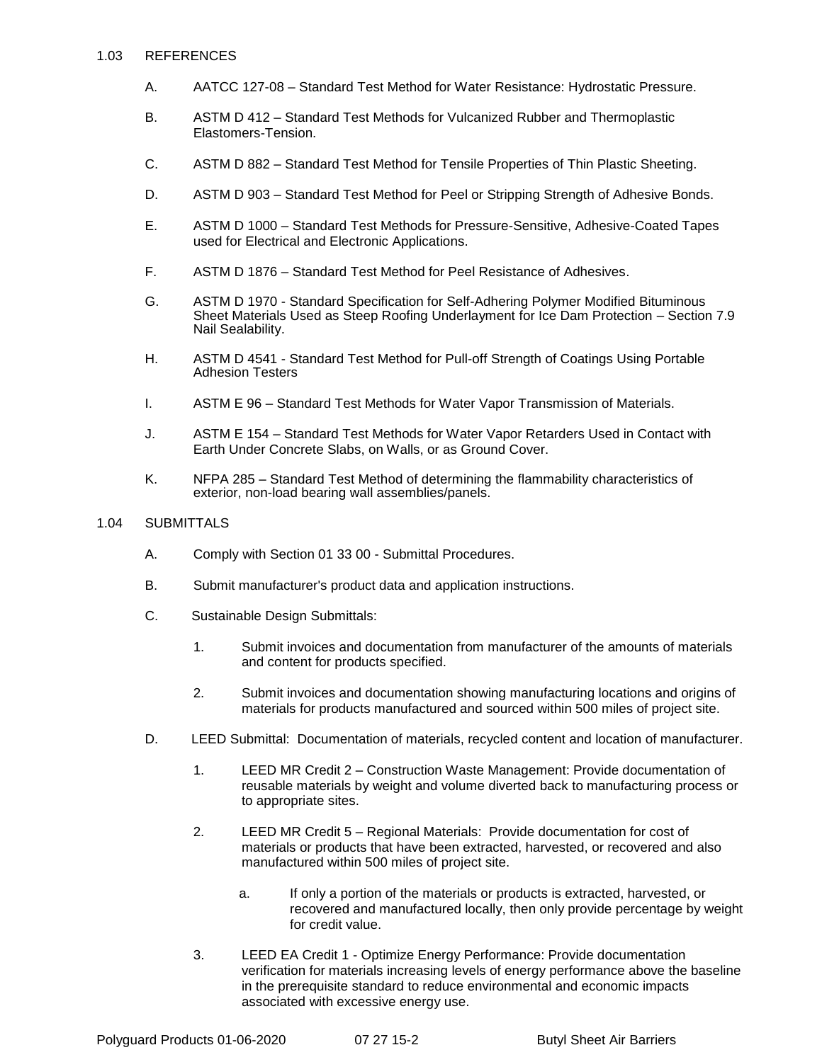#### 1.03 REFERENCES

- A. AATCC 127-08 Standard Test Method for Water Resistance: Hydrostatic Pressure.
- B. ASTM D 412 Standard Test Methods for Vulcanized Rubber and Thermoplastic Elastomers-Tension.
- C. ASTM D 882 Standard Test Method for Tensile Properties of Thin Plastic Sheeting.
- D. ASTM D 903 Standard Test Method for Peel or Stripping Strength of Adhesive Bonds.
- E. ASTM D 1000 Standard Test Methods for Pressure-Sensitive, Adhesive-Coated Tapes used for Electrical and Electronic Applications.
- F. ASTM D 1876 Standard Test Method for Peel Resistance of Adhesives.
- G. ASTM D 1970 Standard Specification for Self-Adhering Polymer Modified Bituminous Sheet Materials Used as Steep Roofing Underlayment for Ice Dam Protection – Section 7.9 Nail Sealability.
- H. ASTM D 4541 Standard Test Method for Pull-off Strength of Coatings Using Portable Adhesion Testers
- I. ASTM E 96 Standard Test Methods for Water Vapor Transmission of Materials.
- J. ASTM E 154 Standard Test Methods for Water Vapor Retarders Used in Contact with Earth Under Concrete Slabs, on Walls, or as Ground Cover.
- K. NFPA 285 Standard Test Method of determining the flammability characteristics of exterior, non-load bearing wall assemblies/panels.

#### 1.04 SUBMITTALS

- A. Comply with Section 01 33 00 Submittal Procedures.
- B. Submit manufacturer's product data and application instructions.
- C. Sustainable Design Submittals:
	- 1. Submit invoices and documentation from manufacturer of the amounts of materials and content for products specified.
	- 2. Submit invoices and documentation showing manufacturing locations and origins of materials for products manufactured and sourced within 500 miles of project site.
- D. LEED Submittal: Documentation of materials, recycled content and location of manufacturer.
	- 1. LEED MR Credit 2 Construction Waste Management: Provide documentation of reusable materials by weight and volume diverted back to manufacturing process or to appropriate sites.
	- 2. LEED MR Credit 5 Regional Materials: Provide documentation for cost of materials or products that have been extracted, harvested, or recovered and also manufactured within 500 miles of project site.
		- a. If only a portion of the materials or products is extracted, harvested, or recovered and manufactured locally, then only provide percentage by weight for credit value.
	- 3. LEED EA Credit 1 Optimize Energy Performance: Provide documentation verification for materials increasing levels of energy performance above the baseline in the prerequisite standard to reduce environmental and economic impacts associated with excessive energy use.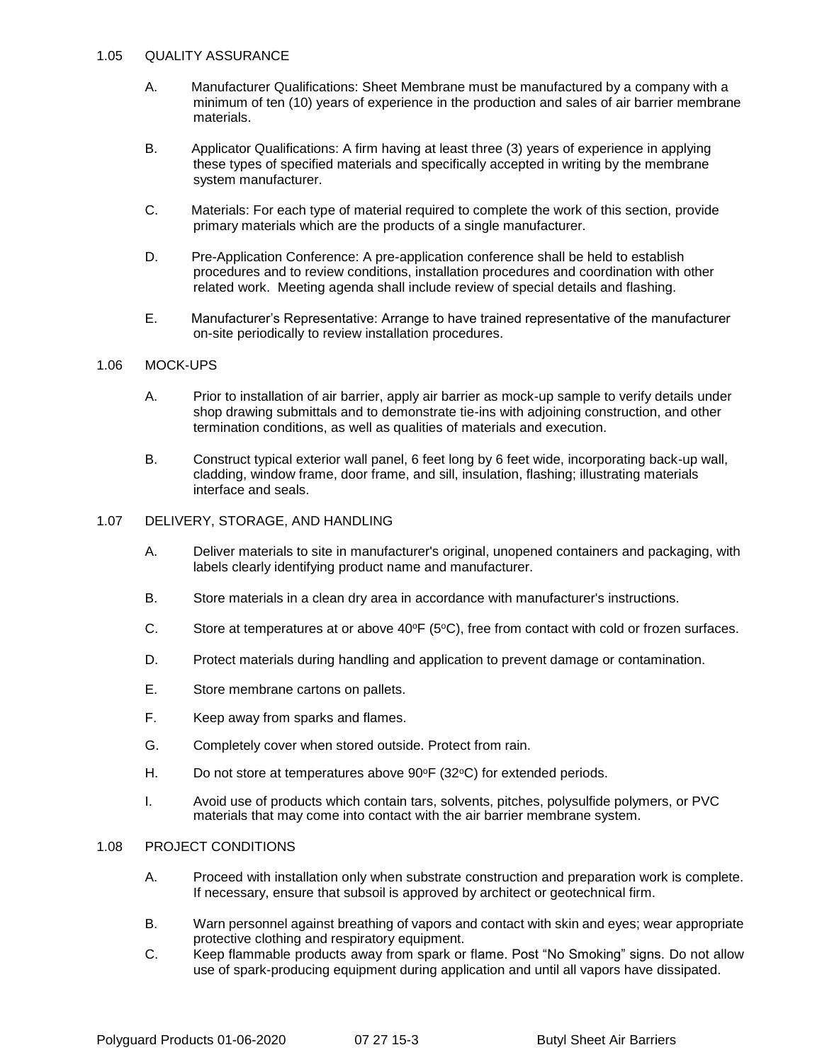### 1.05 QUALITY ASSURANCE

- A. Manufacturer Qualifications: Sheet Membrane must be manufactured by a company with a minimum of ten (10) years of experience in the production and sales of air barrier membrane materials.
- B. Applicator Qualifications: A firm having at least three (3) years of experience in applying these types of specified materials and specifically accepted in writing by the membrane system manufacturer.
- C. Materials: For each type of material required to complete the work of this section, provide primary materials which are the products of a single manufacturer.
- D. Pre-Application Conference: A pre-application conference shall be held to establish procedures and to review conditions, installation procedures and coordination with other related work. Meeting agenda shall include review of special details and flashing.
- E. Manufacturer's Representative: Arrange to have trained representative of the manufacturer on-site periodically to review installation procedures.

### 1.06 MOCK-UPS

- A. Prior to installation of air barrier, apply air barrier as mock-up sample to verify details under shop drawing submittals and to demonstrate tie-ins with adjoining construction, and other termination conditions, as well as qualities of materials and execution.
- B. Construct typical exterior wall panel, 6 feet long by 6 feet wide, incorporating back-up wall, cladding, window frame, door frame, and sill, insulation, flashing; illustrating materials interface and seals.

#### 1.07 DELIVERY, STORAGE, AND HANDLING

- A. Deliver materials to site in manufacturer's original, unopened containers and packaging, with labels clearly identifying product name and manufacturer.
- B. Store materials in a clean dry area in accordance with manufacturer's instructions.
- C. Store at temperatures at or above  $40^{\circ}F(5^{\circ}C)$ , free from contact with cold or frozen surfaces.
- D. Protect materials during handling and application to prevent damage or contamination.
- E. Store membrane cartons on pallets.
- F. Keep away from sparks and flames.
- G. Completely cover when stored outside. Protect from rain.
- H. Do not store at temperatures above 90°F (32°C) for extended periods.
- I. Avoid use of products which contain tars, solvents, pitches, polysulfide polymers, or PVC materials that may come into contact with the air barrier membrane system.

#### 1.08 PROJECT CONDITIONS

- A. Proceed with installation only when substrate construction and preparation work is complete. If necessary, ensure that subsoil is approved by architect or geotechnical firm.
- B. Warn personnel against breathing of vapors and contact with skin and eyes; wear appropriate protective clothing and respiratory equipment.
- C. Keep flammable products away from spark or flame. Post "No Smoking" signs. Do not allow use of spark-producing equipment during application and until all vapors have dissipated.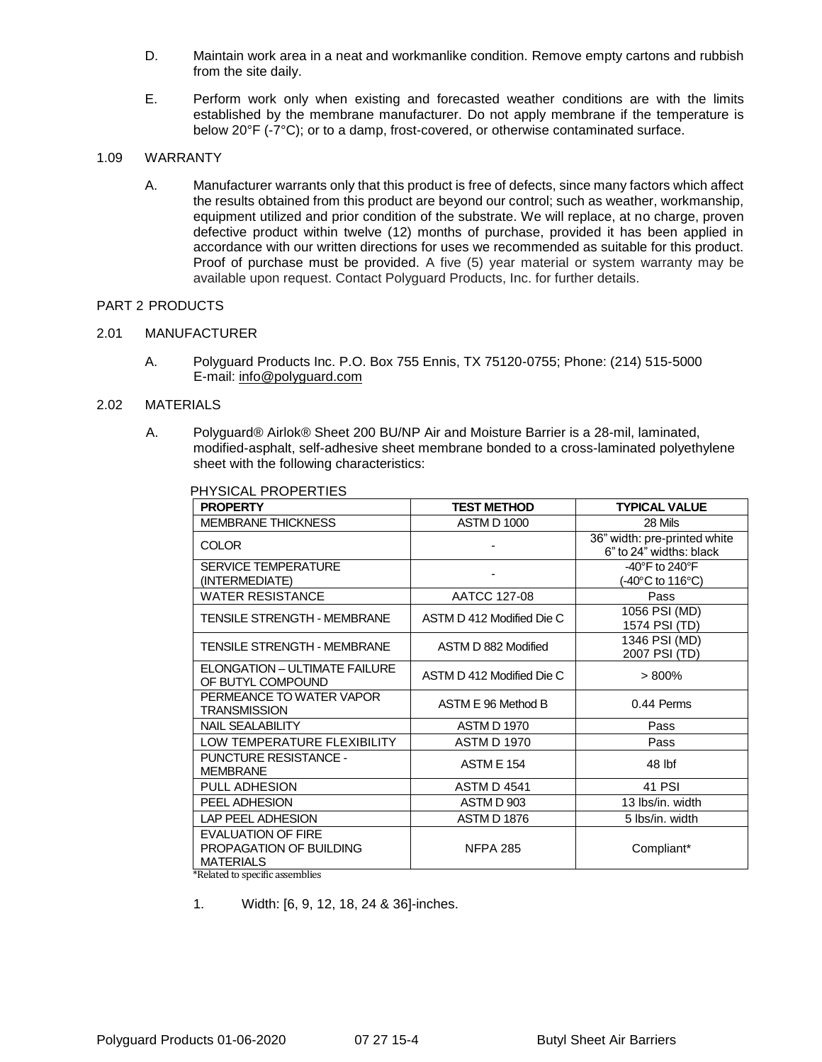- D. Maintain work area in a neat and workmanlike condition. Remove empty cartons and rubbish from the site daily.
- E. Perform work only when existing and forecasted weather conditions are with the limits established by the membrane manufacturer. Do not apply membrane if the temperature is below 20°F (-7°C); or to a damp, frost-covered, or otherwise contaminated surface.

## 1.09 WARRANTY

A. Manufacturer warrants only that this product is free of defects, since many factors which affect the results obtained from this product are beyond our control; such as weather, workmanship, equipment utilized and prior condition of the substrate. We will replace, at no charge, proven defective product within twelve (12) months of purchase, provided it has been applied in accordance with our written directions for uses we recommended as suitable for this product. Proof of purchase must be provided. A five (5) year material or system warranty may be available upon request. Contact Polyguard Products, Inc. for further details.

## PART 2 PRODUCTS

## 2.01 MANUFACTURER

A. Polyguard Products Inc. P.O. Box 755 Ennis, TX 75120-0755; Phone: (214) 515-5000 E-mail: [info@polyguard.com](mailto:info@polyguard.com)

## 2.02 MATERIALS

A. Polyguard® Airlok® Sheet 200 BU/NP Air and Moisture Barrier is a 28-mil, laminated, modified-asphalt, self-adhesive sheet membrane bonded to a cross-laminated polyethylene sheet with the following characteristics:

| <b>PROPERTY</b>                                                          | <b>TEST METHOD</b>        | <b>TYPICAL VALUE</b>                                    |
|--------------------------------------------------------------------------|---------------------------|---------------------------------------------------------|
| <b>MEMBRANE THICKNESS</b>                                                | <b>ASTM D 1000</b>        | 28 Mils                                                 |
| <b>COLOR</b>                                                             |                           | 36" width: pre-printed white<br>6" to 24" widths: black |
| <b>SERVICE TEMPERATURE</b><br>(INTERMEDIATE)                             |                           | -40 $\degree$ F to 240 $\degree$ F<br>(-40°C to 116°C)  |
| <b>WATER RESISTANCE</b>                                                  | AATCC 127-08              | Pass                                                    |
| <b>TENSILE STRENGTH - MEMBRANE</b>                                       | ASTM D 412 Modified Die C | 1056 PSI (MD)<br>1574 PSI (TD)                          |
| <b>TENSILE STRENGTH - MEMBRANE</b>                                       | ASTM D 882 Modified       | 1346 PSI (MD)<br>2007 PSI (TD)                          |
| <b>ELONGATION - ULTIMATE FAILURE</b><br>OF BUTYL COMPOUND                | ASTM D 412 Modified Die C | >800%                                                   |
| PERMEANCE TO WATER VAPOR<br>TRANSMISSION                                 | ASTM E 96 Method B        | 0.44 Perms                                              |
| <b>NAIL SEALABILITY</b>                                                  | <b>ASTM D 1970</b>        | Pass                                                    |
| LOW TEMPERATURE FLEXIBILITY                                              | <b>ASTM D 1970</b>        | Pass                                                    |
| <b>PUNCTURE RESISTANCE -</b><br><b>MEMBRANE</b>                          | <b>ASTM E 154</b>         | 48 lbf                                                  |
| PULL ADHESION                                                            | <b>ASTM D 4541</b>        | 41 PSI                                                  |
| PEEL ADHESION                                                            | ASTM D 903                | 13 lbs/in, width                                        |
| LAP PEEL ADHESION                                                        | <b>ASTM D 1876</b>        | 5 Ibs/in, width                                         |
| <b>EVALUATION OF FIRE</b><br>PROPAGATION OF BUILDING<br><b>MATERIALS</b> | <b>NFPA 285</b>           | Compliant*                                              |

### PHYSICAL PROPERTIES

\*Related to specific assemblies

1. Width: [6, 9, 12, 18, 24 & 36]-inches.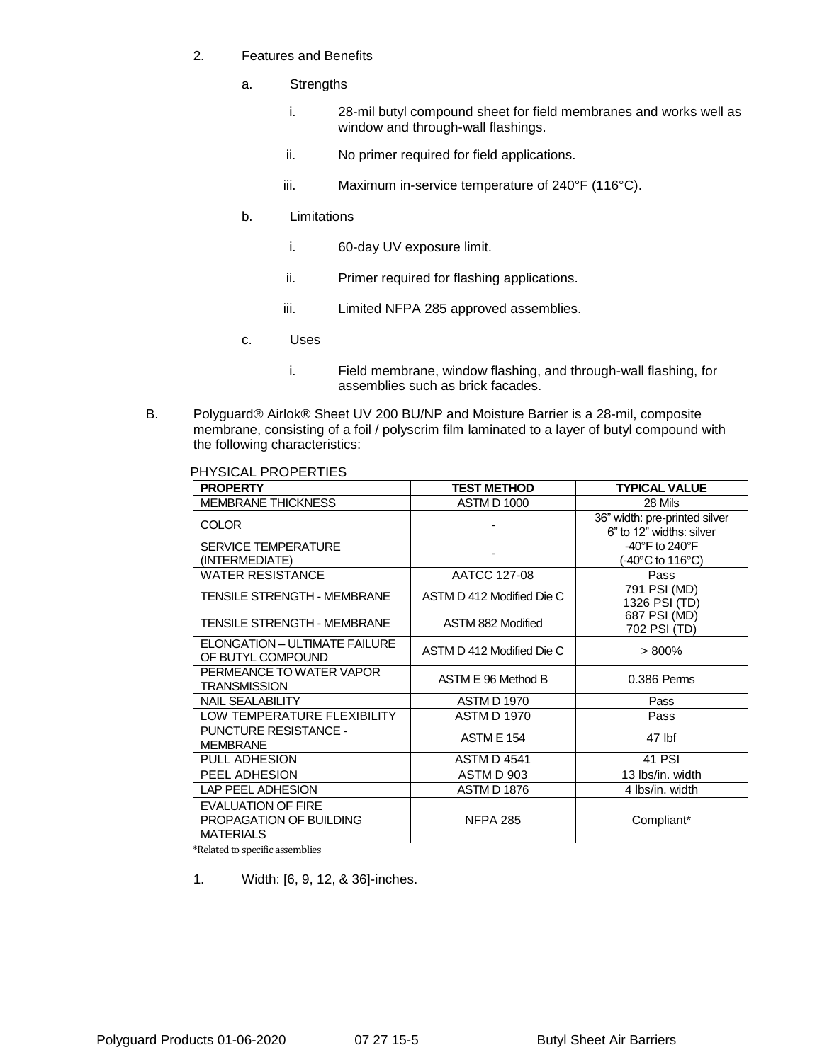- 2. Features and Benefits
	- a. Strengths
		- i. 28-mil butyl compound sheet for field membranes and works well as window and through-wall flashings.
		- ii. No primer required for field applications.
		- iii. Maximum in-service temperature of 240°F (116°C).
	- b. Limitations
		- i. 60-day UV exposure limit.
		- ii. Primer required for flashing applications.
		- iii. Limited NFPA 285 approved assemblies.
	- c. Uses
		- i. Field membrane, window flashing, and through-wall flashing, for assemblies such as brick facades.
- B. Polyguard® Airlok® Sheet UV 200 BU/NP and Moisture Barrier is a 28-mil, composite membrane, consisting of a foil / polyscrim film laminated to a layer of butyl compound with the following characteristics:

PHYSICAL PROPERTIES

| <b>PROPERTY</b>                                                          | <b>TEST METHOD</b>        | <b>TYPICAL VALUE</b>                                                       |
|--------------------------------------------------------------------------|---------------------------|----------------------------------------------------------------------------|
| <b>MEMBRANE THICKNESS</b>                                                | <b>ASTM D 1000</b>        | 28 Mils                                                                    |
| <b>COLOR</b>                                                             |                           | 36" width: pre-printed silver<br>6" to 12" widths: silver                  |
| <b>SERVICE TEMPERATURE</b><br>(INTERMEDIATE)                             |                           | -40 $\degree$ F to 240 $\degree$ F<br>$-40^{\circ}$ C to 116 $^{\circ}$ C) |
| <b>WATER RESISTANCE</b>                                                  | AATCC 127-08              | Pass                                                                       |
| TENSILE STRENGTH - MEMBRANE                                              | ASTM D 412 Modified Die C | 791 PSI (MD)<br>1326 PSI (TD)                                              |
| TENSILE STRENGTH - MEMBRANE                                              | ASTM 882 Modified         | 687 PSI (MD)<br>702 PSI (TD)                                               |
| <b>ELONGATION - ULTIMATE FAILURE</b><br>OF BUTYL COMPOUND                | ASTM D 412 Modified Die C | $> 800\%$                                                                  |
| PERMEANCE TO WATER VAPOR<br><b>TRANSMISSION</b>                          | ASTM E 96 Method B        | 0.386 Perms                                                                |
| <b>NAIL SEALABILITY</b>                                                  | <b>ASTM D 1970</b>        | Pass                                                                       |
| LOW TEMPERATURE FLEXIBILITY                                              | <b>ASTM D 1970</b>        | Pass                                                                       |
| <b>PUNCTURE RESISTANCE -</b><br><b>MEMBRANE</b>                          | <b>ASTM E 154</b>         | 47 lbf                                                                     |
| <b>PULL ADHESION</b>                                                     | <b>ASTM D 4541</b>        | 41 PSI                                                                     |
| PEEL ADHESION                                                            | ASTM D 903                | 13 lbs/in, width                                                           |
| <b>LAP PEEL ADHESION</b>                                                 | <b>ASTM D 1876</b>        | 4 Ibs/in, width                                                            |
| <b>EVALUATION OF FIRE</b><br>PROPAGATION OF BUILDING<br><b>MATERIALS</b> | <b>NFPA 285</b>           | Compliant*                                                                 |

\*Related to specific assemblies

1. Width: [6, 9, 12, & 36]-inches.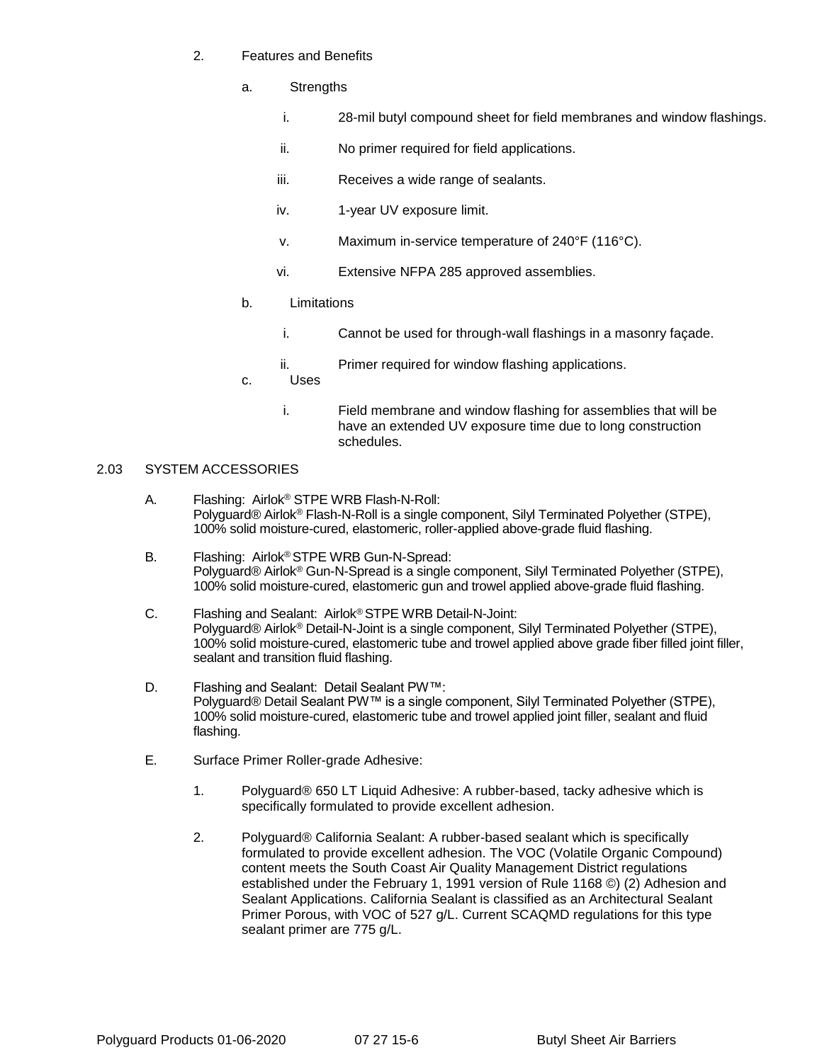- 2. Features and Benefits
	- a. Strengths
		- i. 28-mil butyl compound sheet for field membranes and window flashings.
		- ii. No primer required for field applications.
		- iii. Receives a wide range of sealants.
		- iv. 1-year UV exposure limit.
		- v. Maximum in-service temperature of 240°F (116°C).
		- vi. Extensive NFPA 285 approved assemblies.
	- b. Limitations
		- i. Cannot be used for through-wall flashings in a masonry façade.
		- ii. Primer required for window flashing applications.
	- c. Uses
		- i. Field membrane and window flashing for assemblies that will be have an extended UV exposure time due to long construction schedules.

## 2.03 SYSTEM ACCESSORIES

- A. Flashing: Airlok® STPE WRB Flash-N-Roll: Polyguard® Airlok® Flash-N-Roll is a single component, Silyl Terminated Polyether (STPE), 100% solid moisture-cured, elastomeric, roller-applied above-grade fluid flashing.
- B. Flashing: Airlok® STPE WRB Gun-N-Spread: Polyguard® Airlok® Gun-N-Spread is a single component, Silyl Terminated Polyether (STPE), 100% solid moisture-cured, elastomeric gun and trowel applied above-grade fluid flashing.
- C. Flashing and Sealant: Airlok® STPE WRB Detail-N-Joint: Polyguard® Airlok® Detail-N-Joint is a single component, Silyl Terminated Polyether (STPE), 100% solid moisture-cured, elastomeric tube and trowel applied above grade fiber filled joint filler, sealant and transition fluid flashing.
- D. Flashing and Sealant: Detail Sealant PW™: Polyguard® Detail Sealant PW™ is a single component, Silyl Terminated Polyether (STPE), 100% solid moisture-cured, elastomeric tube and trowel applied joint filler, sealant and fluid flashing.
- E. Surface Primer Roller-grade Adhesive:
	- 1. Polyguard® 650 LT Liquid Adhesive: A rubber-based, tacky adhesive which is specifically formulated to provide excellent adhesion.
	- 2. Polyguard® California Sealant: A rubber-based sealant which is specifically formulated to provide excellent adhesion. The VOC (Volatile Organic Compound) content meets the South Coast Air Quality Management District regulations established under the February 1, 1991 version of Rule 1168 ©) (2) Adhesion and Sealant Applications. California Sealant is classified as an Architectural Sealant Primer Porous, with VOC of 527 g/L. Current SCAQMD regulations for this type sealant primer are 775 g/L.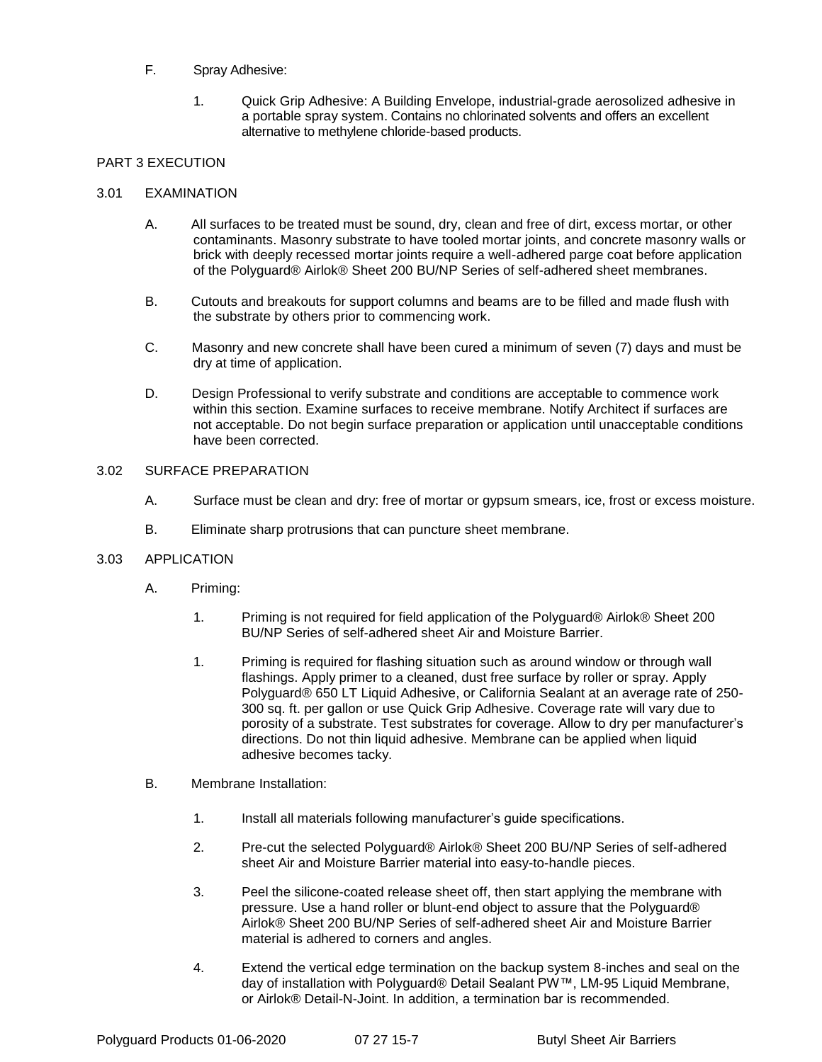## F. Spray Adhesive:

1. Quick Grip Adhesive: A Building Envelope, industrial-grade aerosolized adhesive in a portable spray system. Contains no chlorinated solvents and offers an excellent alternative to methylene chloride-based products.

## PART 3 EXECUTION

### 3.01 EXAMINATION

- A. All surfaces to be treated must be sound, dry, clean and free of dirt, excess mortar, or other contaminants. Masonry substrate to have tooled mortar joints, and concrete masonry walls or brick with deeply recessed mortar joints require a well-adhered parge coat before application of the Polyguard® Airlok® Sheet 200 BU/NP Series of self-adhered sheet membranes.
- B. Cutouts and breakouts for support columns and beams are to be filled and made flush with the substrate by others prior to commencing work.
- C. Masonry and new concrete shall have been cured a minimum of seven (7) days and must be dry at time of application.
- D. Design Professional to verify substrate and conditions are acceptable to commence work within this section. Examine surfaces to receive membrane. Notify Architect if surfaces are not acceptable. Do not begin surface preparation or application until unacceptable conditions have been corrected.

### 3.02 SURFACE PREPARATION

- A. Surface must be clean and dry: free of mortar or gypsum smears, ice, frost or excess moisture.
- B. Eliminate sharp protrusions that can puncture sheet membrane.

### 3.03 APPLICATION

- A. Priming:
	- 1. Priming is not required for field application of the Polyguard® Airlok® Sheet 200 BU/NP Series of self-adhered sheet Air and Moisture Barrier.
	- 1. Priming is required for flashing situation such as around window or through wall flashings. Apply primer to a cleaned, dust free surface by roller or spray. Apply Polyguard® 650 LT Liquid Adhesive, or California Sealant at an average rate of 250- 300 sq. ft. per gallon or use Quick Grip Adhesive. Coverage rate will vary due to porosity of a substrate. Test substrates for coverage. Allow to dry per manufacturer's directions. Do not thin liquid adhesive. Membrane can be applied when liquid adhesive becomes tacky.
- B. Membrane Installation:
	- 1. Install all materials following manufacturer's guide specifications.
	- 2. Pre-cut the selected Polyguard® Airlok® Sheet 200 BU/NP Series of self-adhered sheet Air and Moisture Barrier material into easy-to-handle pieces.
	- 3. Peel the silicone-coated release sheet off, then start applying the membrane with pressure. Use a hand roller or blunt-end object to assure that the Polyguard® Airlok® Sheet 200 BU/NP Series of self-adhered sheet Air and Moisture Barrier material is adhered to corners and angles.
	- 4. Extend the vertical edge termination on the backup system 8-inches and seal on the day of installation with Polyguard® Detail Sealant PW™, LM-95 Liquid Membrane, or Airlok® Detail-N-Joint. In addition, a termination bar is recommended.